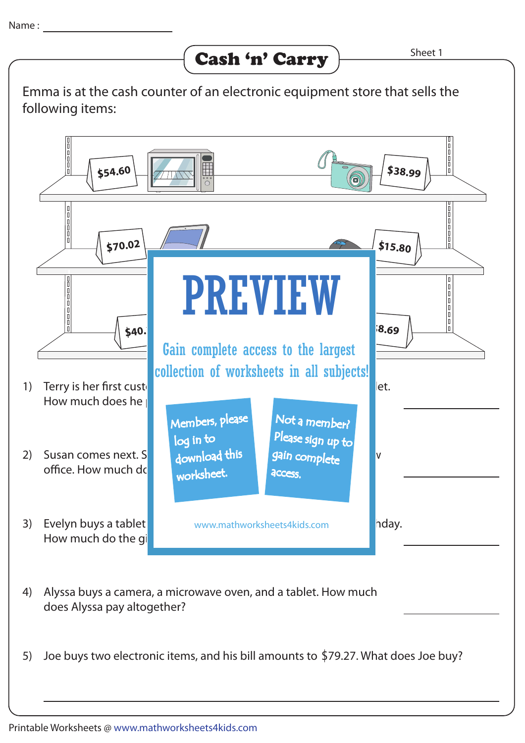Emma is at the cash counter of an electronic equipment store that sells the following items: